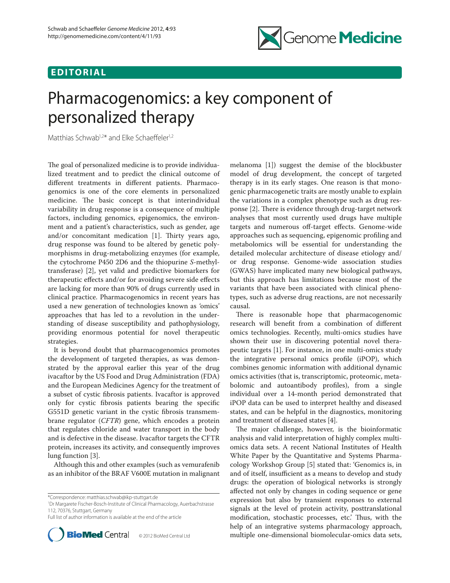# **EDI TO RIA L**



# Pharmacogenomics: a key component of personalized therapy

Matthias Schwab<sup>1,2\*</sup> and Elke Schaeffeler<sup>1,2</sup>

The goal of personalized medicine is to provide individualized treatment and to predict the clinical outcome of different treatments in different patients. Pharmacogenomics is one of the core elements in personalized medicine. The basic concept is that interindividual variability in drug response is a consequence of multiple factors, including genomics, epigenomics, the environment and a patient's characteristics, such as gender, age and/or concomitant medication  $[1]$ . Thirty years ago, drug response was found to be altered by genetic polymorphisms in drug-metabolizing enzymes (for example, the cytochrome P450 2D6 and the thiopurine *S*-methyltransferase) [2], yet valid and predictive biomarkers for therapeutic effects and/or for avoiding severe side effects are lacking for more than 90% of drugs currently used in clinical practice. Pharmacogenomics in recent years has used a new generation of technologies known as *'*omics' approaches that has led to a revolution in the understanding of disease susceptibility and pathophysiology, providing enormous potential for novel therapeutic strategies.

It is beyond doubt that pharmacogenomics promotes the development of targeted therapies, as was demonstrated by the approval earlier this year of the drug ivacaftor by the US Food and Drug Administration (FDA) and the European Medicines Agency for the treatment of a subset of cystic fibrosis patients. Ivacaftor is approved only for cystic fibrosis patients bearing the specific G551D genetic variant in the cystic fibrosis transmembrane regulator (*CFTR*) gene, which encodes a protein that regulates chloride and water transport in the body and is defective in the disease. Ivacaftor targets the CFTR protein, increases its activity, and consequently improves lung function [3].

Although this and other examples (such as vemurafenib as an inhibitor of the BRAF V600E mutation in malignant

1 Dr Margarete Fischer-Bosch-Institute of Clinical Pharmacology, Auerbachstrasse 112, 70376, Stuttgart, Germany

Full list of author information is available at the end of the article



© 2012 BioMed Central Ltd

melanoma [1]) suggest the demise of the blockbuster model of drug development, the concept of targeted therapy is in its early stages. One reason is that monogenic pharmacogenetic traits are mostly unable to explain the variations in a complex phenotype such as drug response [2]. There is evidence through drug-target network analyses that most currently used drugs have multiple targets and numerous off-target effects. Genome-wide approaches such as sequencing, epigenomic profiling and metabolomics will be essential for understanding the detailed molecular architecture of disease etiology and/ or drug response. Genome-wide association studies (GWAS) have implicated many new biological pathways, but this approach has limitations because most of the variants that have been associated with clinical phenotypes, such as adverse drug reactions, are not necessarily causal.

There is reasonable hope that pharmacogenomic research will benefit from a combination of different omics technologies. Recently, multi-omics studies have shown their use in discovering potential novel therapeutic targets [1]. For instance, in one multi-omics study the integrative personal omics profile (iPOP), which combines genomic information with additional dynamic omics activities (that is, transcriptomic, proteomic, metabolomic and autoantibody profiles), from a single individual over a 14-month period demonstrated that iPOP data can be used to interpret healthy and diseased states, and can be helpful in the diagnostics, monitoring and treatment of diseased states [4].

The major challenge, however, is the bioinformatic analysis and valid interpretation of highly complex multiomics data sets. A recent National Institutes of Health White Paper by the Quantitative and Systems Pharmacology Workshop Group [5] stated that: 'Genomics is, in and of itself, insufficient as a means to develop and study drugs: the operation of biological networks is strongly affected not only by changes in coding sequence or gene expression but also by transient responses to external signals at the level of protein activity, posttranslational modification, stochastic processes, etc.' Thus, with the help of an integrative systems pharmacology approach, **BioMed** Central © 2012 BioMed Central Ltd multiple one-dimensional biomolecular-omics data sets,

<sup>\*</sup>Correspondence: matthias.schwab@ikp-stuttgart.de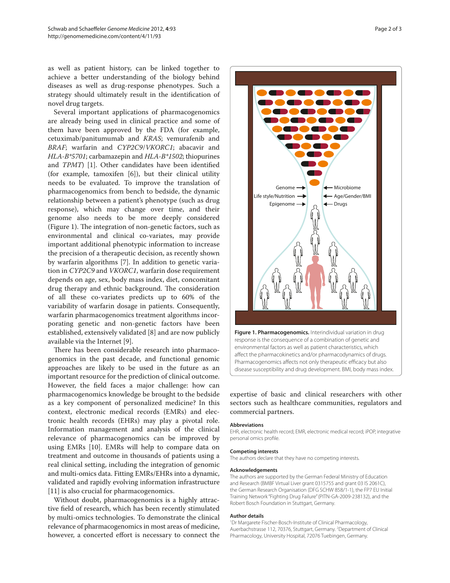as well as patient history, can be linked together to achieve a better understanding of the biology behind diseases as well as drug-response phenotypes. Such a strategy should ultimately result in the identification of novel drug targets.

Several important applications of pharmacogenomics are already being used in clinical practice and some of them have been approved by the FDA (for example, cetuximab/panitumumab and *KRAS*; vemurafenib and *BRAF*; warfarin and *CYP2C9*/*VKORC1*; abacavir and *HLA-B\*5701*; carbamazepin and *HLA-B\*1502*; thiopurines and *TPMT*) [1]. Other candidates have been identified (for example, tamoxifen [6]), but their clinical utility needs to be evaluated. To improve the translation of pharmacogenomics from bench to bedside, the dynamic relationship between a patient's phenotype (such as drug response), which may change over time, and their genome also needs to be more deeply considered (Figure 1). The integration of non-genetic factors, such as environmental and clinical co-variates, may provide important additional phenotypic information to increase the precision of a therapeutic decision, as recently shown by warfarin algorithms [7]. In addition to genetic variation in *CYP2C9* and *VKORC1*, warfarin dose requirement depends on age, sex, body mass index, diet, concomitant drug therapy and ethnic background. The consideration of all these co-variates predicts up to 60% of the variability of warfarin dosage in patients. Consequently, warfarin pharmacogenomics treatment algorithms incorporating genetic and non-genetic factors have been established, extensively validated [8] and are now publicly available via the Internet [9].

There has been considerable research into pharmacogenomics in the past decade, and functional genomic approaches are likely to be used in the future as an important resource for the prediction of clinical outcome. However, the field faces a major challenge: how can pharmacogenomics knowledge be brought to the bedside as a key component of personalized medicine? In this context, electronic medical records (EMRs) and electronic health records (EHRs) may play a pivotal role. Information management and analysis of the clinical relevance of pharmacogenomics can be improved by using EMRs [10]. EMRs will help to compare data on treatment and outcome in thousands of patients using a real clinical setting, including the integration of genomic and multi-omics data. Fitting EMRs/EHRs into a dynamic, validated and rapidly evolving information infrastructure [11] is also crucial for pharmacogenomics.

Without doubt, pharmacogenomics is a highly attractive field of research, which has been recently stimulated by multi-omics technologies. To demonstrate the clinical relevance of pharmacogenomics in most areas of medicine, however, a concerted effort is necessary to connect the



response is the consequence of a combination of genetic and environmental factors as well as patient characteristics, which affect the pharmacokinetics and/or pharmacodynamics of drugs. Pharmacogenomics affects not only therapeutic efficacy but also disease susceptibility and drug development. BMI, body mass index.

expertise of basic and clinical researchers with other sectors such as healthcare communities, regulators and commercial partners.

#### **Abbreviations**

EHR, electronic health record; EMR, electronic medical record; iPOP, integrative personal omics profile.

#### **Competing interests**

The authors declare that they have no competing interests.

#### **Acknowledgements**

The authors are supported by the German Federal Ministry of Education and Research (BMBF Virtual Liver grant 0315755 and grant 03 IS 2061C), the German Research Organisation (DFG SCHW 858/1-1), the FP7 EU Initial Training Network "Fighting Drug Failure" (PITN-GA-2009-238132), and the Robert Bosch Foundation in Stuttgart, Germany.

#### **Author details**

1 Dr Margarete Fischer-Bosch-Institute of Clinical Pharmacology, Auerbachstrasse 112, 70376, Stuttgart, Germany. <sup>2</sup>Department of Clinical Pharmacology, University Hospital, 72076 Tuebingen, Germany.